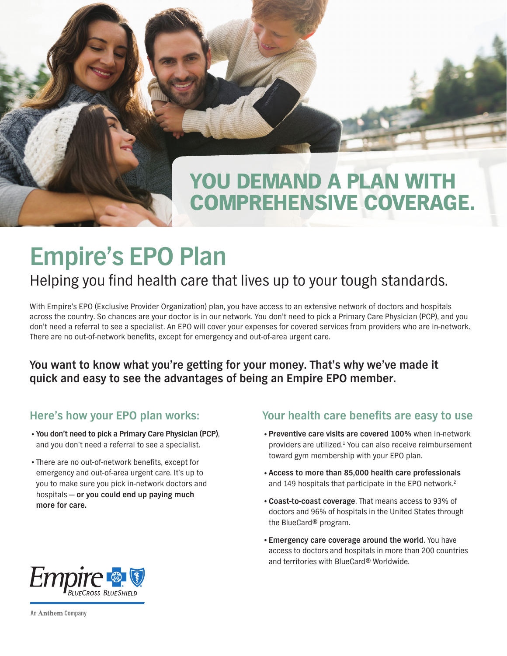## YOU DEMAND A PLAN WITH COMPREHENSIVE COVERAGE.

# **Empire's EPO Plan**

## Helping you find health care that lives up to your tough standards.

With Empire's EPO (Exclusive Provider Organization) plan, you have access to an extensive network of doctors and hospitals across the country. So chances are your doctor is in our network. You don't need to pick a Primary Care Physician (PCP), and you don't need a referral to see a specialist. An EPO will cover your expenses for covered services from providers who are in-network. There are no out-of-network benefits, except for emergency and out-of-area urgent care.

#### **You want to know what you're getting for your money. That's why we've made it quick and easy to see the advantages of being an Empire EPO member.**

#### **Here's how your EPO plan works:**

- •**You don't need to pick a Primary Care Physician (PCP)**, and you don't need a referral to see a specialist.
- •There are no out-of-network benefits, except for emergency and out-of-area urgent care. It's up to you to make sure you pick in-network doctors and hospitals — **or you could end up paying much more for care.**

#### **Your health care benefits are easy to use**

- •**Preventive care visits are covered 100%** when in-network providers are utilized.<sup>1</sup> You can also receive reimbursement toward gym membership with your EPO plan.
- •**Access to more than 85,000 health care professionals** and 149 hospitals that participate in the EPO network.<sup>2</sup>
- •**Coast-to-coast coverage**. That means access to 93% of doctors and 96% of hospitals in the United States through the BlueCard® program.
- •**Emergency care coverage around the world**. You have access to doctors and hospitals in more than 200 countries and territories with BlueCard® Worldwide.



An Anthem Company